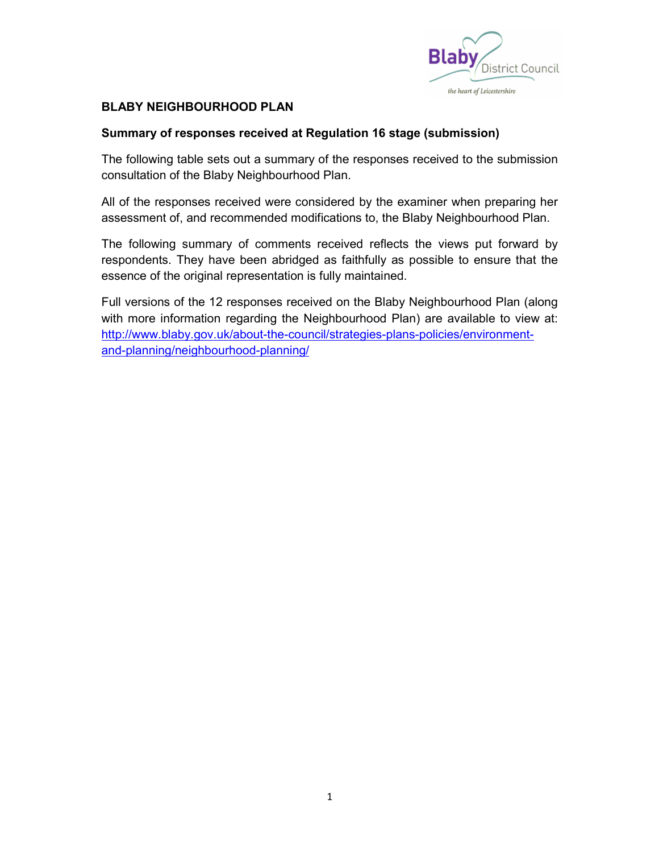

## **BLABY NEIGHBOURHOOD PLAN**

## Summary of responses received at Regulation 16 stage (submission)

The following table sets out a summary of the responses received to the submission consultation of the Blaby Neighbourhood Plan.

All of the responses received were considered by the examiner when preparing her assessment of, and recommended modifications to, the Blaby Neighbourhood Plan.

The following summary of comments received reflects the views put forward by respondents. They have been abridged as faithfully as possible to ensure that the essence of the original representation is fully maintained.

Full versions of the 12 responses received on the Blaby Neighbourhood Plan (along with more information regarding the Neighbourhood Plan) are available to view at: http://www.blaby.gov.uk/about-the-council/strategies-plans-policies/environmentand-planning/neighbourhood-planning/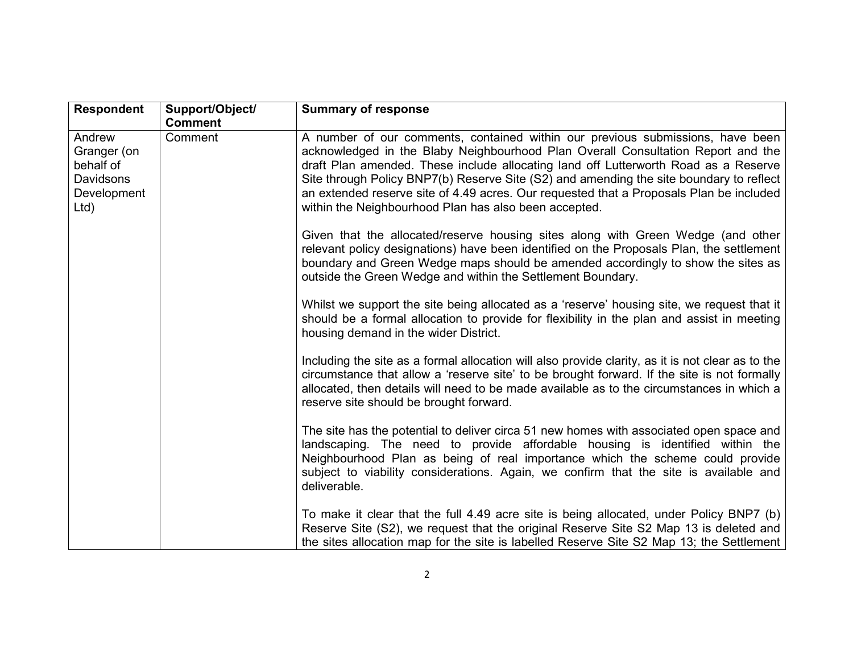| <b>Respondent</b>                                                      | Support/Object/ | <b>Summary of response</b>                                                                                                                                                                                                                                                                                                                                                                                                                                                                               |
|------------------------------------------------------------------------|-----------------|----------------------------------------------------------------------------------------------------------------------------------------------------------------------------------------------------------------------------------------------------------------------------------------------------------------------------------------------------------------------------------------------------------------------------------------------------------------------------------------------------------|
|                                                                        | <b>Comment</b>  |                                                                                                                                                                                                                                                                                                                                                                                                                                                                                                          |
| Andrew<br>Granger (on<br>behalf of<br>Davidsons<br>Development<br>Ltd) | Comment         | A number of our comments, contained within our previous submissions, have been<br>acknowledged in the Blaby Neighbourhood Plan Overall Consultation Report and the<br>draft Plan amended. These include allocating land off Lutterworth Road as a Reserve<br>Site through Policy BNP7(b) Reserve Site (S2) and amending the site boundary to reflect<br>an extended reserve site of 4.49 acres. Our requested that a Proposals Plan be included<br>within the Neighbourhood Plan has also been accepted. |
|                                                                        |                 | Given that the allocated/reserve housing sites along with Green Wedge (and other<br>relevant policy designations) have been identified on the Proposals Plan, the settlement<br>boundary and Green Wedge maps should be amended accordingly to show the sites as<br>outside the Green Wedge and within the Settlement Boundary.                                                                                                                                                                          |
|                                                                        |                 | Whilst we support the site being allocated as a 'reserve' housing site, we request that it<br>should be a formal allocation to provide for flexibility in the plan and assist in meeting<br>housing demand in the wider District.                                                                                                                                                                                                                                                                        |
|                                                                        |                 | Including the site as a formal allocation will also provide clarity, as it is not clear as to the<br>circumstance that allow a 'reserve site' to be brought forward. If the site is not formally<br>allocated, then details will need to be made available as to the circumstances in which a<br>reserve site should be brought forward.                                                                                                                                                                 |
|                                                                        |                 | The site has the potential to deliver circa 51 new homes with associated open space and<br>landscaping. The need to provide affordable housing is identified within the<br>Neighbourhood Plan as being of real importance which the scheme could provide<br>subject to viability considerations. Again, we confirm that the site is available and<br>deliverable.                                                                                                                                        |
|                                                                        |                 | To make it clear that the full 4.49 acre site is being allocated, under Policy BNP7 (b)<br>Reserve Site (S2), we request that the original Reserve Site S2 Map 13 is deleted and<br>the sites allocation map for the site is labelled Reserve Site S2 Map 13; the Settlement                                                                                                                                                                                                                             |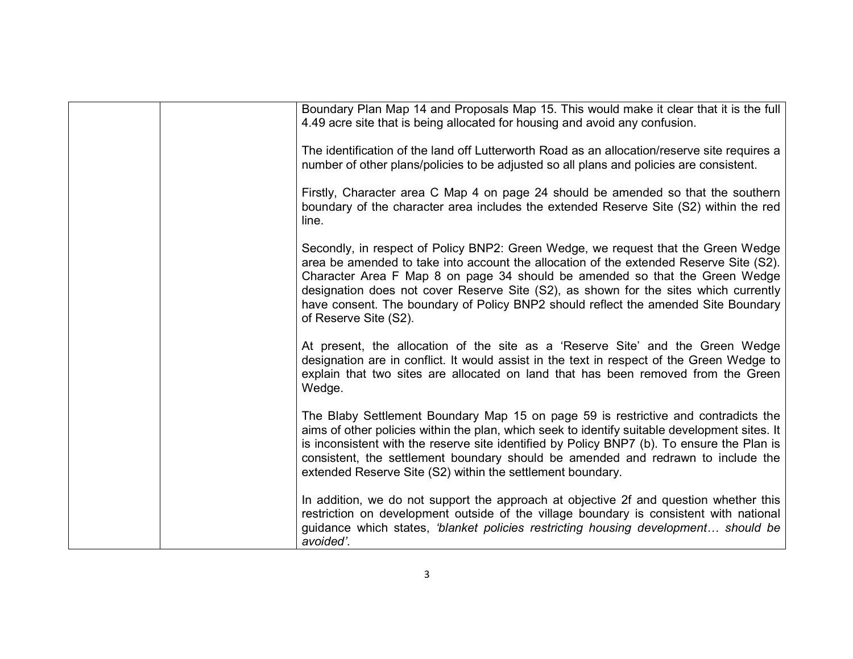| Boundary Plan Map 14 and Proposals Map 15. This would make it clear that it is the full<br>4.49 acre site that is being allocated for housing and avoid any confusion.                                                                                                                                                                                                                                                                                            |
|-------------------------------------------------------------------------------------------------------------------------------------------------------------------------------------------------------------------------------------------------------------------------------------------------------------------------------------------------------------------------------------------------------------------------------------------------------------------|
| The identification of the land off Lutterworth Road as an allocation/reserve site requires a<br>number of other plans/policies to be adjusted so all plans and policies are consistent.                                                                                                                                                                                                                                                                           |
| Firstly, Character area C Map 4 on page 24 should be amended so that the southern<br>boundary of the character area includes the extended Reserve Site (S2) within the red<br>line.                                                                                                                                                                                                                                                                               |
| Secondly, in respect of Policy BNP2: Green Wedge, we request that the Green Wedge<br>area be amended to take into account the allocation of the extended Reserve Site (S2).<br>Character Area F Map 8 on page 34 should be amended so that the Green Wedge<br>designation does not cover Reserve Site (S2), as shown for the sites which currently<br>have consent. The boundary of Policy BNP2 should reflect the amended Site Boundary<br>of Reserve Site (S2). |
| At present, the allocation of the site as a 'Reserve Site' and the Green Wedge<br>designation are in conflict. It would assist in the text in respect of the Green Wedge to<br>explain that two sites are allocated on land that has been removed from the Green<br>Wedge.                                                                                                                                                                                        |
| The Blaby Settlement Boundary Map 15 on page 59 is restrictive and contradicts the<br>aims of other policies within the plan, which seek to identify suitable development sites. It<br>is inconsistent with the reserve site identified by Policy BNP7 (b). To ensure the Plan is<br>consistent, the settlement boundary should be amended and redrawn to include the<br>extended Reserve Site (S2) within the settlement boundary.                               |
| In addition, we do not support the approach at objective 2f and question whether this<br>restriction on development outside of the village boundary is consistent with national<br>quidance which states, 'blanket policies restricting housing development should be<br>avoided'.                                                                                                                                                                                |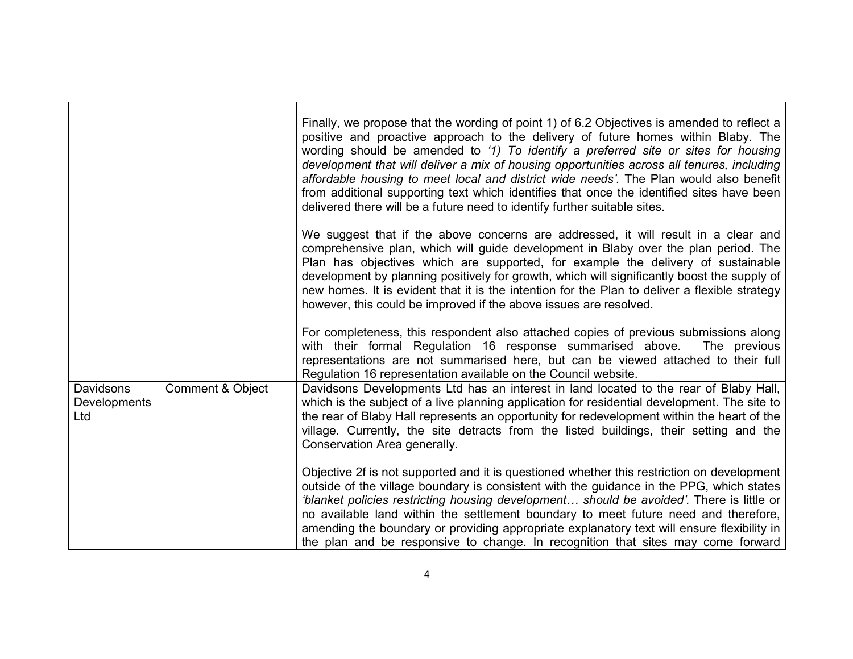|                                         |                  | Finally, we propose that the wording of point 1) of 6.2 Objectives is amended to reflect a<br>positive and proactive approach to the delivery of future homes within Blaby. The<br>wording should be amended to '1) To identify a preferred site or sites for housing<br>development that will deliver a mix of housing opportunities across all tenures, including<br>affordable housing to meet local and district wide needs'. The Plan would also benefit<br>from additional supporting text which identifies that once the identified sites have been<br>delivered there will be a future need to identify further suitable sites. |
|-----------------------------------------|------------------|-----------------------------------------------------------------------------------------------------------------------------------------------------------------------------------------------------------------------------------------------------------------------------------------------------------------------------------------------------------------------------------------------------------------------------------------------------------------------------------------------------------------------------------------------------------------------------------------------------------------------------------------|
|                                         |                  | We suggest that if the above concerns are addressed, it will result in a clear and<br>comprehensive plan, which will guide development in Blaby over the plan period. The<br>Plan has objectives which are supported, for example the delivery of sustainable<br>development by planning positively for growth, which will significantly boost the supply of<br>new homes. It is evident that it is the intention for the Plan to deliver a flexible strategy<br>however, this could be improved if the above issues are resolved.                                                                                                      |
|                                         |                  | For completeness, this respondent also attached copies of previous submissions along<br>with their formal Regulation 16 response summarised above.<br>The previous<br>representations are not summarised here, but can be viewed attached to their full<br>Regulation 16 representation available on the Council website.                                                                                                                                                                                                                                                                                                               |
| Davidsons<br><b>Developments</b><br>Ltd | Comment & Object | Davidsons Developments Ltd has an interest in land located to the rear of Blaby Hall,<br>which is the subject of a live planning application for residential development. The site to<br>the rear of Blaby Hall represents an opportunity for redevelopment within the heart of the<br>village. Currently, the site detracts from the listed buildings, their setting and the<br>Conservation Area generally.                                                                                                                                                                                                                           |
|                                         |                  | Objective 2f is not supported and it is questioned whether this restriction on development<br>outside of the village boundary is consistent with the guidance in the PPG, which states<br>'blanket policies restricting housing development should be avoided'. There is little or<br>no available land within the settlement boundary to meet future need and therefore,<br>amending the boundary or providing appropriate explanatory text will ensure flexibility in<br>the plan and be responsive to change. In recognition that sites may come forward                                                                             |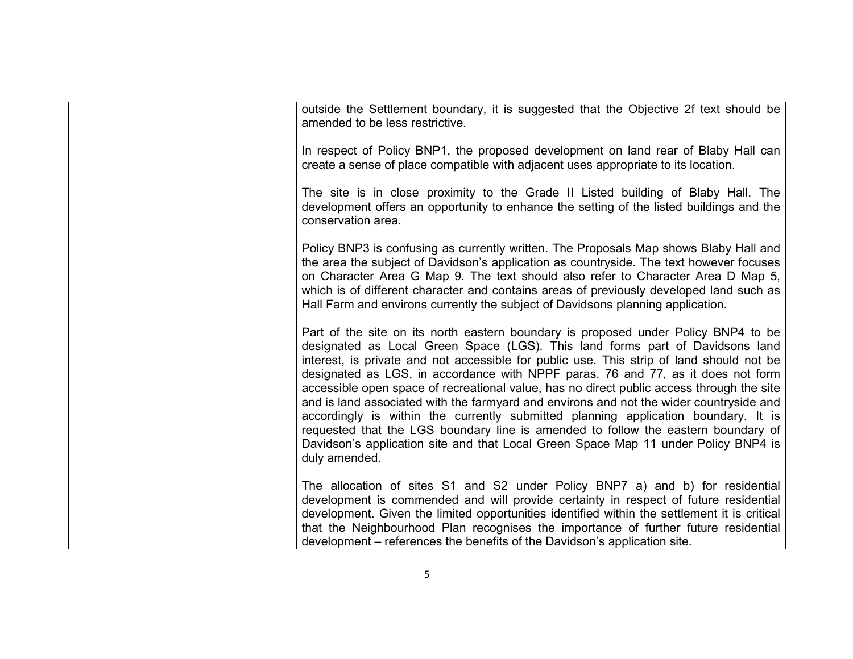|  | outside the Settlement boundary, it is suggested that the Objective 2f text should be<br>amended to be less restrictive.                                                                                                                                                                                                                                                                                                                                                                                                                                                                                                                                                                                                                                                                                                      |
|--|-------------------------------------------------------------------------------------------------------------------------------------------------------------------------------------------------------------------------------------------------------------------------------------------------------------------------------------------------------------------------------------------------------------------------------------------------------------------------------------------------------------------------------------------------------------------------------------------------------------------------------------------------------------------------------------------------------------------------------------------------------------------------------------------------------------------------------|
|  | In respect of Policy BNP1, the proposed development on land rear of Blaby Hall can<br>create a sense of place compatible with adjacent uses appropriate to its location.                                                                                                                                                                                                                                                                                                                                                                                                                                                                                                                                                                                                                                                      |
|  | The site is in close proximity to the Grade II Listed building of Blaby Hall. The<br>development offers an opportunity to enhance the setting of the listed buildings and the<br>conservation area.                                                                                                                                                                                                                                                                                                                                                                                                                                                                                                                                                                                                                           |
|  | Policy BNP3 is confusing as currently written. The Proposals Map shows Blaby Hall and<br>the area the subject of Davidson's application as countryside. The text however focuses<br>on Character Area G Map 9. The text should also refer to Character Area D Map 5,<br>which is of different character and contains areas of previously developed land such as<br>Hall Farm and environs currently the subject of Davidsons planning application.                                                                                                                                                                                                                                                                                                                                                                            |
|  | Part of the site on its north eastern boundary is proposed under Policy BNP4 to be<br>designated as Local Green Space (LGS). This land forms part of Davidsons land<br>interest, is private and not accessible for public use. This strip of land should not be<br>designated as LGS, in accordance with NPPF paras. 76 and 77, as it does not form<br>accessible open space of recreational value, has no direct public access through the site<br>and is land associated with the farmyard and environs and not the wider countryside and<br>accordingly is within the currently submitted planning application boundary. It is<br>requested that the LGS boundary line is amended to follow the eastern boundary of<br>Davidson's application site and that Local Green Space Map 11 under Policy BNP4 is<br>duly amended. |
|  | The allocation of sites S1 and S2 under Policy BNP7 a) and b) for residential<br>development is commended and will provide certainty in respect of future residential<br>development. Given the limited opportunities identified within the settlement it is critical<br>that the Neighbourhood Plan recognises the importance of further future residential<br>development – references the benefits of the Davidson's application site.                                                                                                                                                                                                                                                                                                                                                                                     |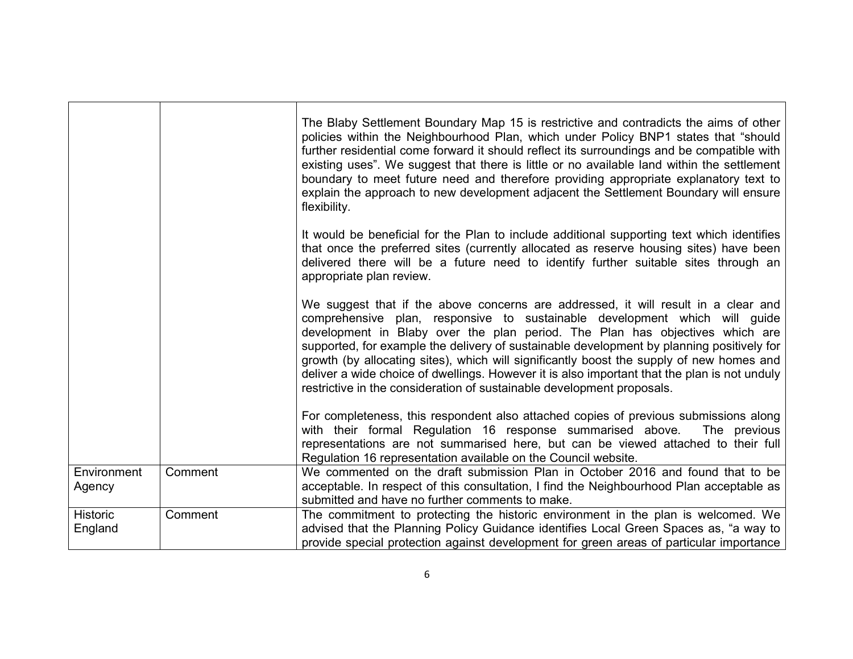|                            |         | The Blaby Settlement Boundary Map 15 is restrictive and contradicts the aims of other<br>policies within the Neighbourhood Plan, which under Policy BNP1 states that "should"<br>further residential come forward it should reflect its surroundings and be compatible with<br>existing uses". We suggest that there is little or no available land within the settlement<br>boundary to meet future need and therefore providing appropriate explanatory text to<br>explain the approach to new development adjacent the Settlement Boundary will ensure<br>flexibility.                                           |
|----------------------------|---------|---------------------------------------------------------------------------------------------------------------------------------------------------------------------------------------------------------------------------------------------------------------------------------------------------------------------------------------------------------------------------------------------------------------------------------------------------------------------------------------------------------------------------------------------------------------------------------------------------------------------|
|                            |         | It would be beneficial for the Plan to include additional supporting text which identifies<br>that once the preferred sites (currently allocated as reserve housing sites) have been<br>delivered there will be a future need to identify further suitable sites through an<br>appropriate plan review.                                                                                                                                                                                                                                                                                                             |
|                            |         | We suggest that if the above concerns are addressed, it will result in a clear and<br>comprehensive plan, responsive to sustainable development which will guide<br>development in Blaby over the plan period. The Plan has objectives which are<br>supported, for example the delivery of sustainable development by planning positively for<br>growth (by allocating sites), which will significantly boost the supply of new homes and<br>deliver a wide choice of dwellings. However it is also important that the plan is not unduly<br>restrictive in the consideration of sustainable development proposals. |
|                            |         | For completeness, this respondent also attached copies of previous submissions along<br>with their formal Regulation 16 response summarised above.<br>The previous<br>representations are not summarised here, but can be viewed attached to their full<br>Regulation 16 representation available on the Council website.                                                                                                                                                                                                                                                                                           |
| Environment<br>Agency      | Comment | We commented on the draft submission Plan in October 2016 and found that to be<br>acceptable. In respect of this consultation, I find the Neighbourhood Plan acceptable as<br>submitted and have no further comments to make.                                                                                                                                                                                                                                                                                                                                                                                       |
| <b>Historic</b><br>England | Comment | The commitment to protecting the historic environment in the plan is welcomed. We<br>advised that the Planning Policy Guidance identifies Local Green Spaces as, "a way to<br>provide special protection against development for green areas of particular importance                                                                                                                                                                                                                                                                                                                                               |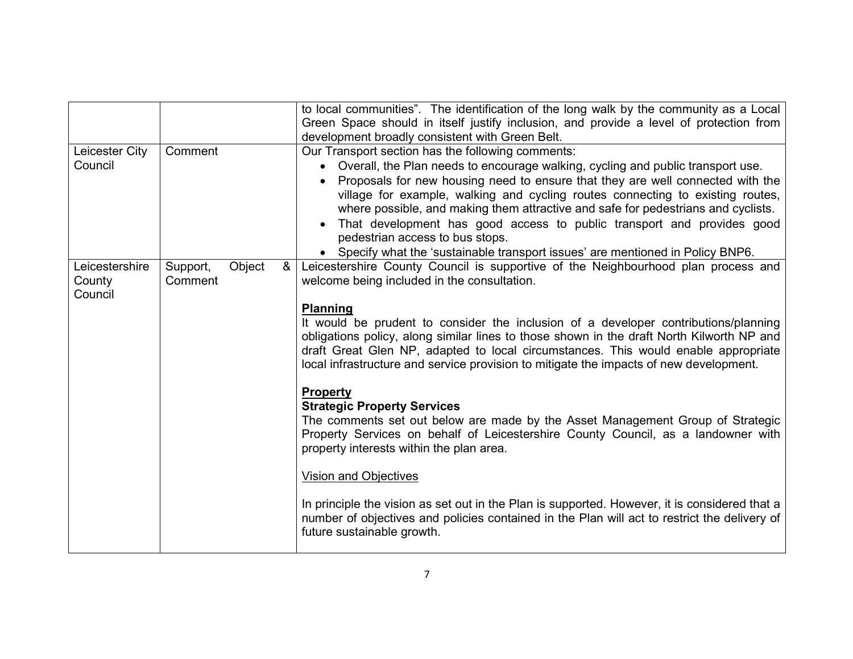| Leicester City<br>Council           | Comment                       | to local communities". The identification of the long walk by the community as a Local<br>Green Space should in itself justify inclusion, and provide a level of protection from<br>development broadly consistent with Green Belt.<br>Our Transport section has the following comments:<br>Overall, the Plan needs to encourage walking, cycling and public transport use.<br>$\bullet$<br>Proposals for new housing need to ensure that they are well connected with the<br>$\bullet$<br>village for example, walking and cycling routes connecting to existing routes,<br>where possible, and making them attractive and safe for pedestrians and cyclists.<br>That development has good access to public transport and provides good<br>$\bullet$<br>pedestrian access to bus stops.<br>• Specify what the 'sustainable transport issues' are mentioned in Policy BNP6.                                                                                                                                                                                      |
|-------------------------------------|-------------------------------|------------------------------------------------------------------------------------------------------------------------------------------------------------------------------------------------------------------------------------------------------------------------------------------------------------------------------------------------------------------------------------------------------------------------------------------------------------------------------------------------------------------------------------------------------------------------------------------------------------------------------------------------------------------------------------------------------------------------------------------------------------------------------------------------------------------------------------------------------------------------------------------------------------------------------------------------------------------------------------------------------------------------------------------------------------------|
| Leicestershire<br>County<br>Council | Object<br>Support,<br>Comment | Leicestershire County Council is supportive of the Neighbourhood plan process and<br>&<br>welcome being included in the consultation.<br><b>Planning</b><br>It would be prudent to consider the inclusion of a developer contributions/planning<br>obligations policy, along similar lines to those shown in the draft North Kilworth NP and<br>draft Great Glen NP, adapted to local circumstances. This would enable appropriate<br>local infrastructure and service provision to mitigate the impacts of new development.<br>Property<br><b>Strategic Property Services</b><br>The comments set out below are made by the Asset Management Group of Strategic<br>Property Services on behalf of Leicestershire County Council, as a landowner with<br>property interests within the plan area.<br><b>Vision and Objectives</b><br>In principle the vision as set out in the Plan is supported. However, it is considered that a<br>number of objectives and policies contained in the Plan will act to restrict the delivery of<br>future sustainable growth. |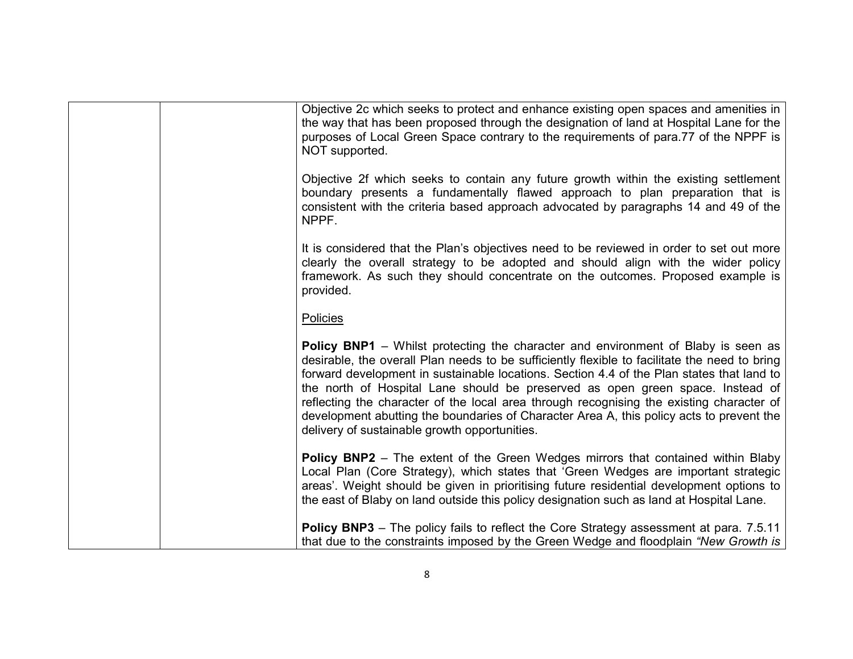|  | Objective 2c which seeks to protect and enhance existing open spaces and amenities in<br>the way that has been proposed through the designation of land at Hospital Lane for the<br>purposes of Local Green Space contrary to the requirements of para.77 of the NPPF is<br>NOT supported.                                                                                                                                                                                                                                                                                                                        |
|--|-------------------------------------------------------------------------------------------------------------------------------------------------------------------------------------------------------------------------------------------------------------------------------------------------------------------------------------------------------------------------------------------------------------------------------------------------------------------------------------------------------------------------------------------------------------------------------------------------------------------|
|  | Objective 2f which seeks to contain any future growth within the existing settlement<br>boundary presents a fundamentally flawed approach to plan preparation that is<br>consistent with the criteria based approach advocated by paragraphs 14 and 49 of the<br>NPPF.                                                                                                                                                                                                                                                                                                                                            |
|  | It is considered that the Plan's objectives need to be reviewed in order to set out more<br>clearly the overall strategy to be adopted and should align with the wider policy<br>framework. As such they should concentrate on the outcomes. Proposed example is<br>provided.                                                                                                                                                                                                                                                                                                                                     |
|  | Policies                                                                                                                                                                                                                                                                                                                                                                                                                                                                                                                                                                                                          |
|  | <b>Policy BNP1</b> – Whilst protecting the character and environment of Blaby is seen as<br>desirable, the overall Plan needs to be sufficiently flexible to facilitate the need to bring<br>forward development in sustainable locations. Section 4.4 of the Plan states that land to<br>the north of Hospital Lane should be preserved as open green space. Instead of<br>reflecting the character of the local area through recognising the existing character of<br>development abutting the boundaries of Character Area A, this policy acts to prevent the<br>delivery of sustainable growth opportunities. |
|  | <b>Policy BNP2</b> – The extent of the Green Wedges mirrors that contained within Blaby<br>Local Plan (Core Strategy), which states that 'Green Wedges are important strategic<br>areas'. Weight should be given in prioritising future residential development options to<br>the east of Blaby on land outside this policy designation such as land at Hospital Lane.                                                                                                                                                                                                                                            |
|  | Policy BNP3 - The policy fails to reflect the Core Strategy assessment at para. 7.5.11<br>that due to the constraints imposed by the Green Wedge and floodplain "New Growth is                                                                                                                                                                                                                                                                                                                                                                                                                                    |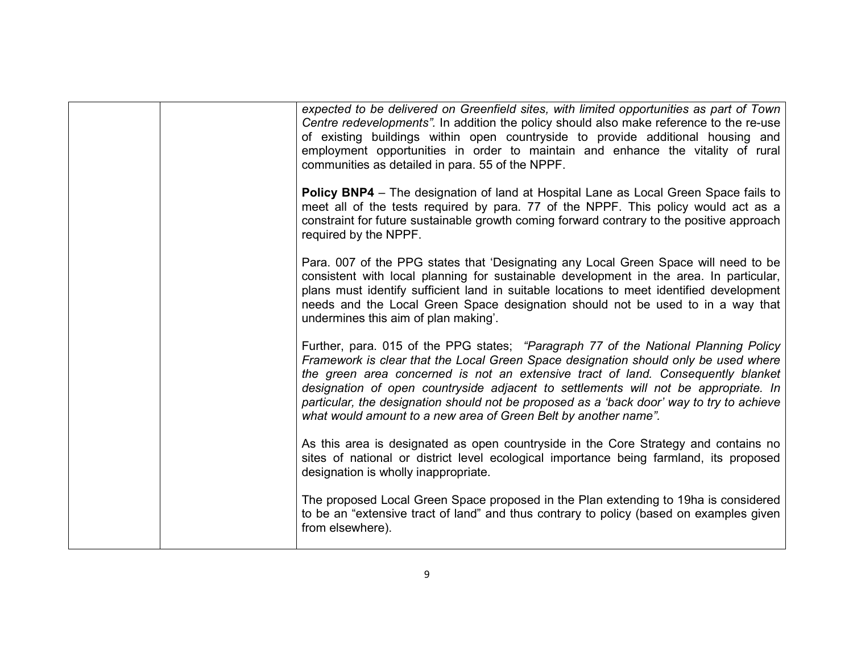|  | expected to be delivered on Greenfield sites, with limited opportunities as part of Town<br>Centre redevelopments". In addition the policy should also make reference to the re-use<br>of existing buildings within open countryside to provide additional housing and<br>employment opportunities in order to maintain and enhance the vitality of rural<br>communities as detailed in para. 55 of the NPPF.                                                                                                         |
|--|-----------------------------------------------------------------------------------------------------------------------------------------------------------------------------------------------------------------------------------------------------------------------------------------------------------------------------------------------------------------------------------------------------------------------------------------------------------------------------------------------------------------------|
|  | <b>Policy BNP4</b> – The designation of land at Hospital Lane as Local Green Space fails to<br>meet all of the tests required by para. 77 of the NPPF. This policy would act as a<br>constraint for future sustainable growth coming forward contrary to the positive approach<br>required by the NPPF.                                                                                                                                                                                                               |
|  | Para. 007 of the PPG states that 'Designating any Local Green Space will need to be<br>consistent with local planning for sustainable development in the area. In particular,<br>plans must identify sufficient land in suitable locations to meet identified development<br>needs and the Local Green Space designation should not be used to in a way that<br>undermines this aim of plan making'.                                                                                                                  |
|  | Further, para. 015 of the PPG states; "Paragraph 77 of the National Planning Policy<br>Framework is clear that the Local Green Space designation should only be used where<br>the green area concerned is not an extensive tract of land. Consequently blanket<br>designation of open countryside adjacent to settlements will not be appropriate. In<br>particular, the designation should not be proposed as a 'back door' way to try to achieve<br>what would amount to a new area of Green Belt by another name". |
|  | As this area is designated as open countryside in the Core Strategy and contains no<br>sites of national or district level ecological importance being farmland, its proposed<br>designation is wholly inappropriate.                                                                                                                                                                                                                                                                                                 |
|  | The proposed Local Green Space proposed in the Plan extending to 19ha is considered<br>to be an "extensive tract of land" and thus contrary to policy (based on examples given<br>from elsewhere).                                                                                                                                                                                                                                                                                                                    |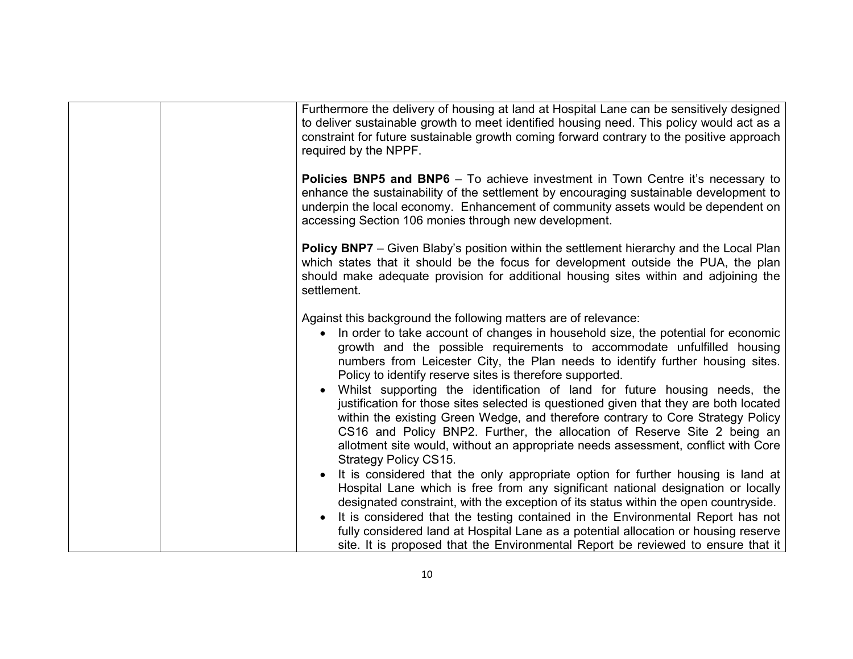| Furthermore the delivery of housing at land at Hospital Lane can be sensitively designed<br>to deliver sustainable growth to meet identified housing need. This policy would act as a<br>constraint for future sustainable growth coming forward contrary to the positive approach<br>required by the NPPF.                                                                                                                                                                                                                |
|----------------------------------------------------------------------------------------------------------------------------------------------------------------------------------------------------------------------------------------------------------------------------------------------------------------------------------------------------------------------------------------------------------------------------------------------------------------------------------------------------------------------------|
| <b>Policies BNP5 and BNP6</b> - To achieve investment in Town Centre it's necessary to<br>enhance the sustainability of the settlement by encouraging sustainable development to<br>underpin the local economy. Enhancement of community assets would be dependent on<br>accessing Section 106 monies through new development.                                                                                                                                                                                             |
| <b>Policy BNP7</b> – Given Blaby's position within the settlement hierarchy and the Local Plan<br>which states that it should be the focus for development outside the PUA, the plan<br>should make adequate provision for additional housing sites within and adjoining the<br>settlement.                                                                                                                                                                                                                                |
| Against this background the following matters are of relevance:<br>In order to take account of changes in household size, the potential for economic<br>$\bullet$<br>growth and the possible requirements to accommodate unfulfilled housing<br>numbers from Leicester City, the Plan needs to identify further housing sites.<br>Policy to identify reserve sites is therefore supported.                                                                                                                                 |
| Whilst supporting the identification of land for future housing needs, the<br>justification for those sites selected is questioned given that they are both located<br>within the existing Green Wedge, and therefore contrary to Core Strategy Policy<br>CS16 and Policy BNP2. Further, the allocation of Reserve Site 2 being an<br>allotment site would, without an appropriate needs assessment, conflict with Core<br><b>Strategy Policy CS15.</b>                                                                    |
| It is considered that the only appropriate option for further housing is land at<br>Hospital Lane which is free from any significant national designation or locally<br>designated constraint, with the exception of its status within the open countryside.<br>It is considered that the testing contained in the Environmental Report has not<br>fully considered land at Hospital Lane as a potential allocation or housing reserve<br>site. It is proposed that the Environmental Report be reviewed to ensure that it |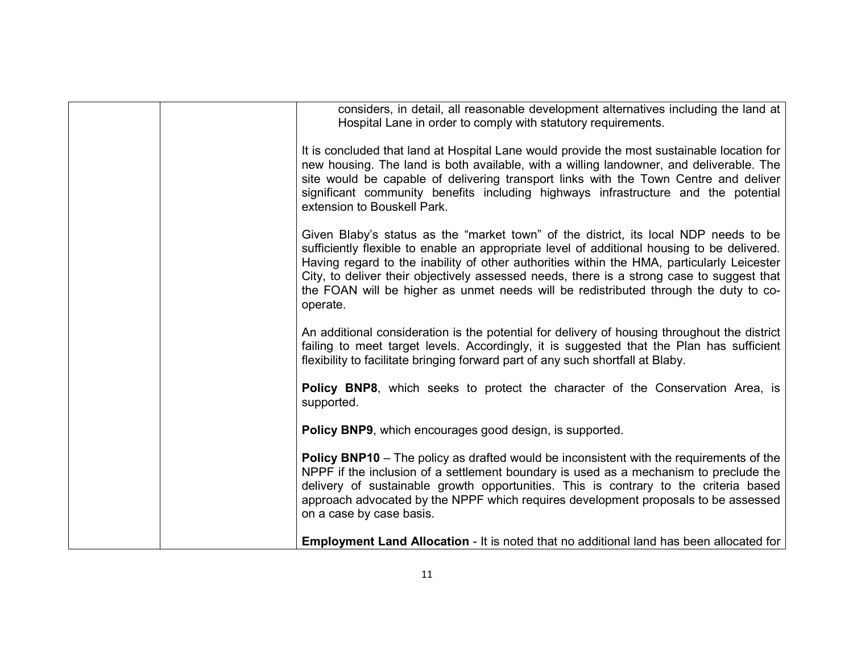| considers, in detail, all reasonable development alternatives including the land at<br>Hospital Lane in order to comply with statutory requirements.                                                                                                                                                                                                                                                                                                                               |
|------------------------------------------------------------------------------------------------------------------------------------------------------------------------------------------------------------------------------------------------------------------------------------------------------------------------------------------------------------------------------------------------------------------------------------------------------------------------------------|
| It is concluded that land at Hospital Lane would provide the most sustainable location for<br>new housing. The land is both available, with a willing landowner, and deliverable. The<br>site would be capable of delivering transport links with the Town Centre and deliver<br>significant community benefits including highways infrastructure and the potential<br>extension to Bouskell Park.                                                                                 |
| Given Blaby's status as the "market town" of the district, its local NDP needs to be<br>sufficiently flexible to enable an appropriate level of additional housing to be delivered.<br>Having regard to the inability of other authorities within the HMA, particularly Leicester<br>City, to deliver their objectively assessed needs, there is a strong case to suggest that<br>the FOAN will be higher as unmet needs will be redistributed through the duty to co-<br>operate. |
| An additional consideration is the potential for delivery of housing throughout the district<br>failing to meet target levels. Accordingly, it is suggested that the Plan has sufficient<br>flexibility to facilitate bringing forward part of any such shortfall at Blaby.                                                                                                                                                                                                        |
| Policy BNP8, which seeks to protect the character of the Conservation Area, is<br>supported.                                                                                                                                                                                                                                                                                                                                                                                       |
| Policy BNP9, which encourages good design, is supported.                                                                                                                                                                                                                                                                                                                                                                                                                           |
| <b>Policy BNP10</b> – The policy as drafted would be inconsistent with the requirements of the<br>NPPF if the inclusion of a settlement boundary is used as a mechanism to preclude the<br>delivery of sustainable growth opportunities. This is contrary to the criteria based<br>approach advocated by the NPPF which requires development proposals to be assessed<br>on a case by case basis.                                                                                  |
| <b>Employment Land Allocation</b> - It is noted that no additional land has been allocated for                                                                                                                                                                                                                                                                                                                                                                                     |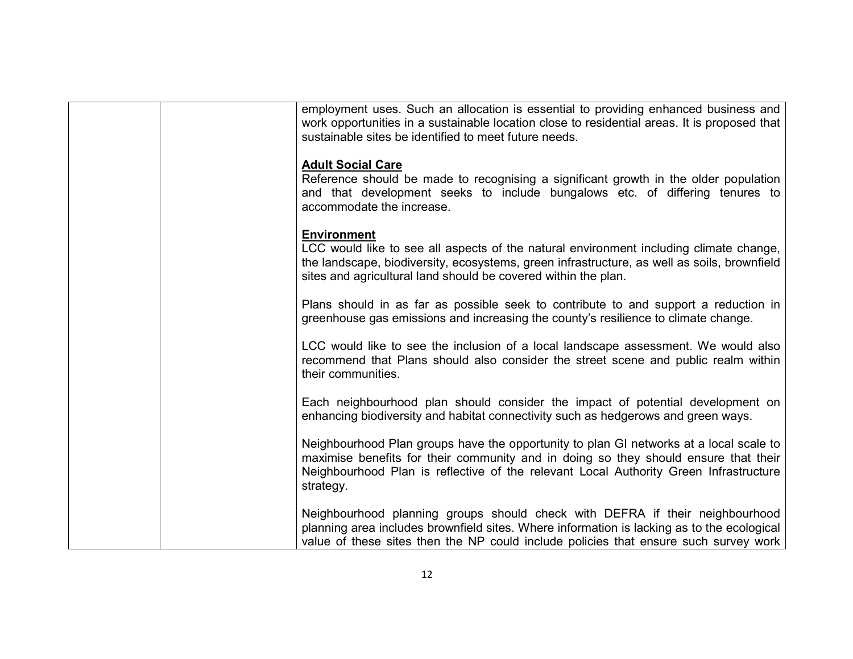| employment uses. Such an allocation is essential to providing enhanced business and<br>work opportunities in a sustainable location close to residential areas. It is proposed that                                                                                                 |
|-------------------------------------------------------------------------------------------------------------------------------------------------------------------------------------------------------------------------------------------------------------------------------------|
| sustainable sites be identified to meet future needs.                                                                                                                                                                                                                               |
| <b>Adult Social Care</b><br>Reference should be made to recognising a significant growth in the older population<br>and that development seeks to include bungalows etc. of differing tenures to<br>accommodate the increase.                                                       |
| <b>Environment</b><br>LCC would like to see all aspects of the natural environment including climate change,<br>the landscape, biodiversity, ecosystems, green infrastructure, as well as soils, brownfield<br>sites and agricultural land should be covered within the plan.       |
| Plans should in as far as possible seek to contribute to and support a reduction in<br>greenhouse gas emissions and increasing the county's resilience to climate change.                                                                                                           |
| LCC would like to see the inclusion of a local landscape assessment. We would also<br>recommend that Plans should also consider the street scene and public realm within<br>their communities.                                                                                      |
| Each neighbourhood plan should consider the impact of potential development on<br>enhancing biodiversity and habitat connectivity such as hedgerows and green ways.                                                                                                                 |
| Neighbourhood Plan groups have the opportunity to plan GI networks at a local scale to<br>maximise benefits for their community and in doing so they should ensure that their<br>Neighbourhood Plan is reflective of the relevant Local Authority Green Infrastructure<br>strategy. |
| Neighbourhood planning groups should check with DEFRA if their neighbourhood<br>planning area includes brownfield sites. Where information is lacking as to the ecological<br>value of these sites then the NP could include policies that ensure such survey work                  |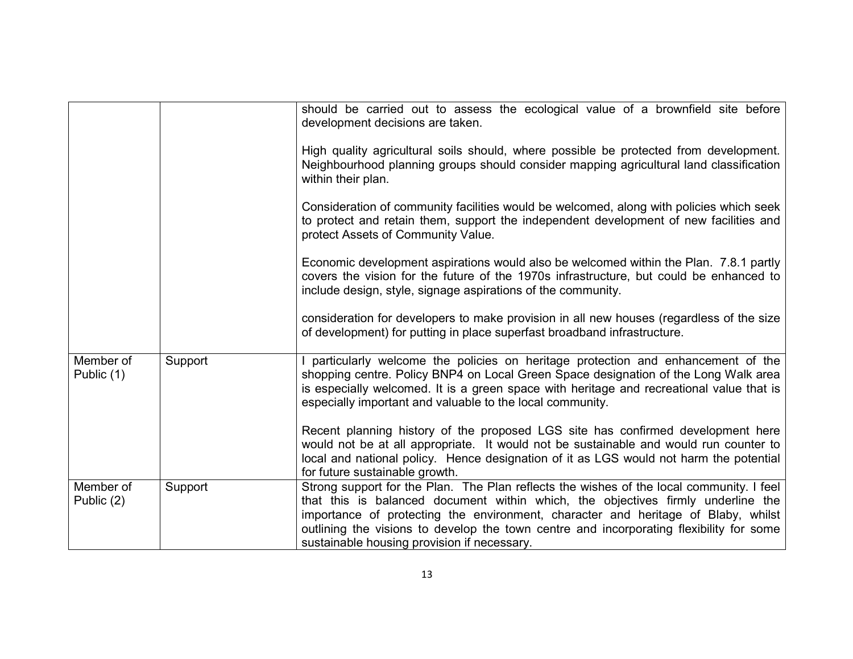|                         |         | should be carried out to assess the ecological value of a brownfield site before<br>development decisions are taken.<br>High quality agricultural soils should, where possible be protected from development.<br>Neighbourhood planning groups should consider mapping agricultural land classification<br>within their plan.<br>Consideration of community facilities would be welcomed, along with policies which seek<br>to protect and retain them, support the independent development of new facilities and<br>protect Assets of Community Value.<br>Economic development aspirations would also be welcomed within the Plan. 7.8.1 partly<br>covers the vision for the future of the 1970s infrastructure, but could be enhanced to<br>include design, style, signage aspirations of the community. |
|-------------------------|---------|------------------------------------------------------------------------------------------------------------------------------------------------------------------------------------------------------------------------------------------------------------------------------------------------------------------------------------------------------------------------------------------------------------------------------------------------------------------------------------------------------------------------------------------------------------------------------------------------------------------------------------------------------------------------------------------------------------------------------------------------------------------------------------------------------------|
|                         |         | consideration for developers to make provision in all new houses (regardless of the size<br>of development) for putting in place superfast broadband infrastructure.                                                                                                                                                                                                                                                                                                                                                                                                                                                                                                                                                                                                                                       |
| Member of<br>Public (1) | Support | particularly welcome the policies on heritage protection and enhancement of the<br>shopping centre. Policy BNP4 on Local Green Space designation of the Long Walk area<br>is especially welcomed. It is a green space with heritage and recreational value that is<br>especially important and valuable to the local community.                                                                                                                                                                                                                                                                                                                                                                                                                                                                            |
|                         |         | Recent planning history of the proposed LGS site has confirmed development here<br>would not be at all appropriate. It would not be sustainable and would run counter to<br>local and national policy. Hence designation of it as LGS would not harm the potential<br>for future sustainable growth.                                                                                                                                                                                                                                                                                                                                                                                                                                                                                                       |
| Member of<br>Public (2) | Support | Strong support for the Plan. The Plan reflects the wishes of the local community. I feel<br>that this is balanced document within which, the objectives firmly underline the<br>importance of protecting the environment, character and heritage of Blaby, whilst<br>outlining the visions to develop the town centre and incorporating flexibility for some<br>sustainable housing provision if necessary.                                                                                                                                                                                                                                                                                                                                                                                                |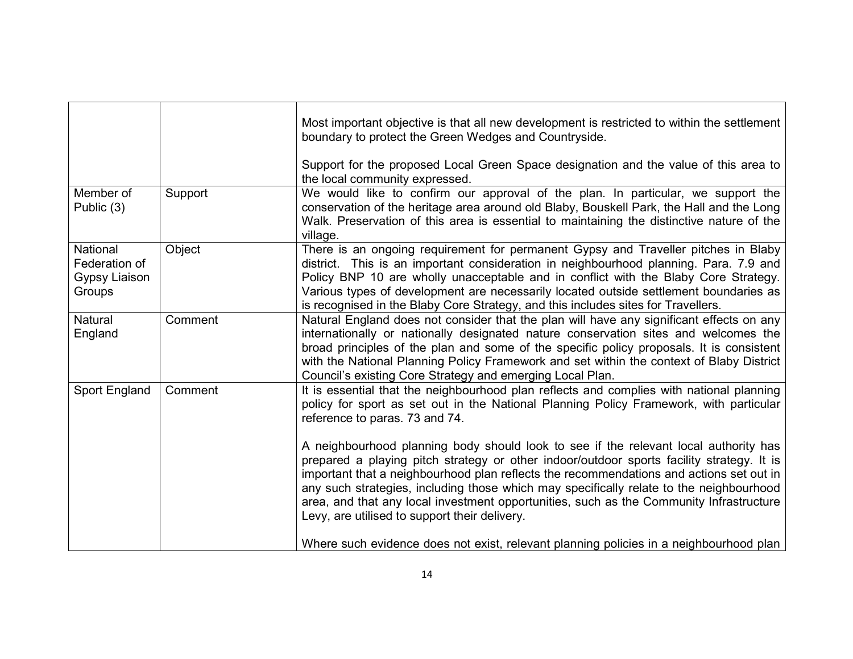|                                                             |         | Most important objective is that all new development is restricted to within the settlement<br>boundary to protect the Green Wedges and Countryside.                                                                                                                                                                                                                                                                                                                                                                |
|-------------------------------------------------------------|---------|---------------------------------------------------------------------------------------------------------------------------------------------------------------------------------------------------------------------------------------------------------------------------------------------------------------------------------------------------------------------------------------------------------------------------------------------------------------------------------------------------------------------|
|                                                             |         | Support for the proposed Local Green Space designation and the value of this area to<br>the local community expressed.                                                                                                                                                                                                                                                                                                                                                                                              |
| Member of<br>Public (3)                                     | Support | We would like to confirm our approval of the plan. In particular, we support the<br>conservation of the heritage area around old Blaby, Bouskell Park, the Hall and the Long<br>Walk. Preservation of this area is essential to maintaining the distinctive nature of the<br>village.                                                                                                                                                                                                                               |
| <b>National</b><br>Federation of<br>Gypsy Liaison<br>Groups | Object  | There is an ongoing requirement for permanent Gypsy and Traveller pitches in Blaby<br>district. This is an important consideration in neighbourhood planning. Para. 7.9 and<br>Policy BNP 10 are wholly unacceptable and in conflict with the Blaby Core Strategy.<br>Various types of development are necessarily located outside settlement boundaries as<br>is recognised in the Blaby Core Strategy, and this includes sites for Travellers.                                                                    |
| Natural<br>England                                          | Comment | Natural England does not consider that the plan will have any significant effects on any<br>internationally or nationally designated nature conservation sites and welcomes the<br>broad principles of the plan and some of the specific policy proposals. It is consistent<br>with the National Planning Policy Framework and set within the context of Blaby District<br>Council's existing Core Strategy and emerging Local Plan.                                                                                |
| Sport England                                               | Comment | It is essential that the neighbourhood plan reflects and complies with national planning<br>policy for sport as set out in the National Planning Policy Framework, with particular<br>reference to paras. 73 and 74.                                                                                                                                                                                                                                                                                                |
|                                                             |         | A neighbourhood planning body should look to see if the relevant local authority has<br>prepared a playing pitch strategy or other indoor/outdoor sports facility strategy. It is<br>important that a neighbourhood plan reflects the recommendations and actions set out in<br>any such strategies, including those which may specifically relate to the neighbourhood<br>area, and that any local investment opportunities, such as the Community Infrastructure<br>Levy, are utilised to support their delivery. |
|                                                             |         | Where such evidence does not exist, relevant planning policies in a neighbourhood plan                                                                                                                                                                                                                                                                                                                                                                                                                              |